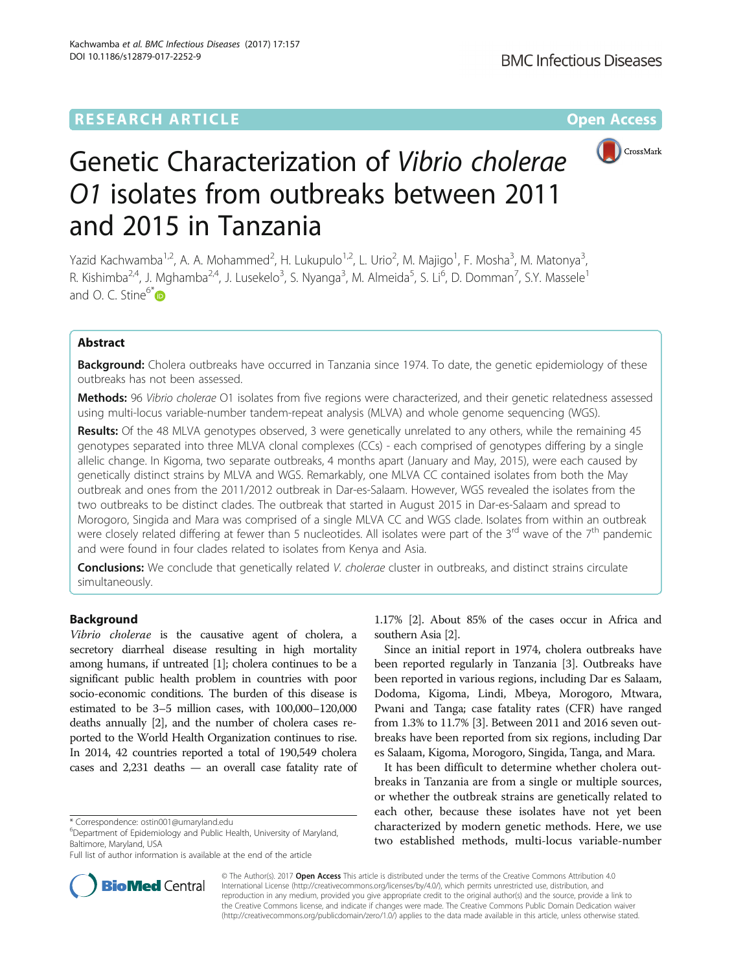## **RESEARCH ARTICLE Example 2014 12:30 The Contract of Contract ACCESS**



# Genetic Characterization of Vibrio cholerae O1 isolates from outbreaks between 2011 and 2015 in Tanzania

Yazid Kachwamba<sup>1,2</sup>, A. A. Mohammed<sup>2</sup>, H. Lukupulo<sup>1,2</sup>, L. Urio<sup>2</sup>, M. Majigo<sup>1</sup>, F. Mosha<sup>3</sup>, M. Matonya<sup>3</sup> , R. Kishimba<sup>2,4</sup>, J. Mghamba<sup>2,4</sup>, J. Lusekelo<sup>3</sup>, S. Nyanga<sup>3</sup>, M. Almeida<sup>5</sup>, S. Li<sup>6</sup>, D. Domman<sup>7</sup>, S.Y. Massele<sup>1</sup> and O. C. Stine $6*$ 

## Abstract

**Background:** Cholera outbreaks have occurred in Tanzania since 1974. To date, the genetic epidemiology of these outbreaks has not been assessed.

Methods: 96 Vibrio cholerae O1 isolates from five regions were characterized, and their genetic relatedness assessed using multi-locus variable-number tandem-repeat analysis (MLVA) and whole genome sequencing (WGS).

Results: Of the 48 MLVA genotypes observed, 3 were genetically unrelated to any others, while the remaining 45 genotypes separated into three MLVA clonal complexes (CCs) - each comprised of genotypes differing by a single allelic change. In Kigoma, two separate outbreaks, 4 months apart (January and May, 2015), were each caused by genetically distinct strains by MLVA and WGS. Remarkably, one MLVA CC contained isolates from both the May outbreak and ones from the 2011/2012 outbreak in Dar-es-Salaam. However, WGS revealed the isolates from the two outbreaks to be distinct clades. The outbreak that started in August 2015 in Dar-es-Salaam and spread to Morogoro, Singida and Mara was comprised of a single MLVA CC and WGS clade. Isolates from within an outbreak were closely related differing at fewer than 5 nucleotides. All isolates were part of the  $3^{rd}$  wave of the  $7^{th}$  pandemic and were found in four clades related to isolates from Kenya and Asia.

Conclusions: We conclude that genetically related V. cholerae cluster in outbreaks, and distinct strains circulate simultaneously.

## Background

Vibrio cholerae is the causative agent of cholera, a secretory diarrheal disease resulting in high mortality among humans, if untreated [\[1\]](#page-5-0); cholera continues to be a significant public health problem in countries with poor socio-economic conditions. The burden of this disease is estimated to be 3–5 million cases, with 100,000–120,000 deaths annually [\[2\]](#page-5-0), and the number of cholera cases reported to the World Health Organization continues to rise. In 2014, 42 countries reported a total of 190,549 cholera cases and 2,231 deaths — an overall case fatality rate of

1.17% [\[2](#page-5-0)]. About 85% of the cases occur in Africa and southern Asia [[2](#page-5-0)].

Since an initial report in 1974, cholera outbreaks have been reported regularly in Tanzania [\[3](#page-5-0)]. Outbreaks have been reported in various regions, including Dar es Salaam, Dodoma, Kigoma, Lindi, Mbeya, Morogoro, Mtwara, Pwani and Tanga; case fatality rates (CFR) have ranged from 1.3% to 11.7% [\[3](#page-5-0)]. Between 2011 and 2016 seven outbreaks have been reported from six regions, including Dar es Salaam, Kigoma, Morogoro, Singida, Tanga, and Mara.

It has been difficult to determine whether cholera outbreaks in Tanzania are from a single or multiple sources, or whether the outbreak strains are genetically related to each other, because these isolates have not yet been characterized by modern genetic methods. Here, we use two established methods, multi-locus variable-number



© The Author(s). 2017 **Open Access** This article is distributed under the terms of the Creative Commons Attribution 4.0 International License [\(http://creativecommons.org/licenses/by/4.0/](http://creativecommons.org/licenses/by/4.0/)), which permits unrestricted use, distribution, and reproduction in any medium, provided you give appropriate credit to the original author(s) and the source, provide a link to the Creative Commons license, and indicate if changes were made. The Creative Commons Public Domain Dedication waiver [\(http://creativecommons.org/publicdomain/zero/1.0/](http://creativecommons.org/publicdomain/zero/1.0/)) applies to the data made available in this article, unless otherwise stated.

<sup>\*</sup> Correspondence: [ostin001@umaryland.edu](mailto:ostin001@umaryland.edu) <sup>6</sup>

Department of Epidemiology and Public Health, University of Maryland, Baltimore, Maryland, USA

Full list of author information is available at the end of the article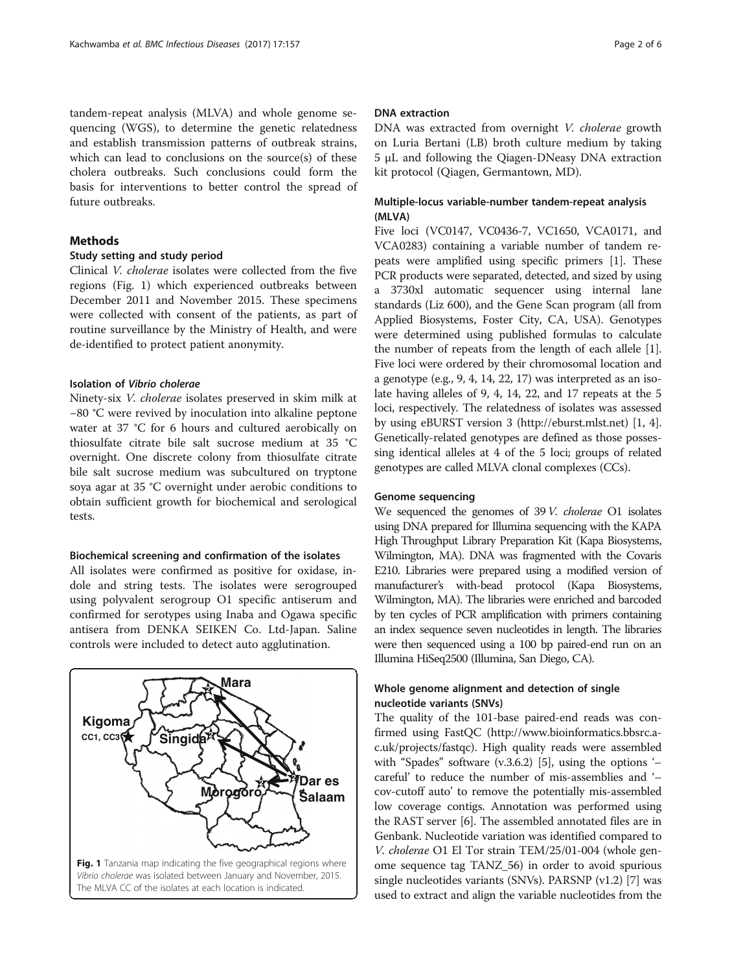<span id="page-1-0"></span>tandem-repeat analysis (MLVA) and whole genome sequencing (WGS), to determine the genetic relatedness and establish transmission patterns of outbreak strains, which can lead to conclusions on the source(s) of these cholera outbreaks. Such conclusions could form the basis for interventions to better control the spread of future outbreaks.

## **Methods**

### Study setting and study period

Clinical V. cholerae isolates were collected from the five regions (Fig. 1) which experienced outbreaks between December 2011 and November 2015. These specimens were collected with consent of the patients, as part of routine surveillance by the Ministry of Health, and were de-identified to protect patient anonymity.

#### Isolation of Vibrio cholerae

Ninety-six V. cholerae isolates preserved in skim milk at −80 °C were revived by inoculation into alkaline peptone water at 37 °C for 6 hours and cultured aerobically on thiosulfate citrate bile salt sucrose medium at 35 °C overnight. One discrete colony from thiosulfate citrate bile salt sucrose medium was subcultured on tryptone soya agar at 35 °C overnight under aerobic conditions to obtain sufficient growth for biochemical and serological tests.

## Biochemical screening and confirmation of the isolates

All isolates were confirmed as positive for oxidase, indole and string tests. The isolates were serogrouped using polyvalent serogroup O1 specific antiserum and confirmed for serotypes using Inaba and Ogawa specific antisera from DENKA SEIKEN Co. Ltd-Japan. Saline controls were included to detect auto agglutination.



## DNA extraction

DNA was extracted from overnight V. cholerae growth on Luria Bertani (LB) broth culture medium by taking 5 μL and following the Qiagen-DNeasy DNA extraction kit protocol (Qiagen, Germantown, MD).

## Multiple-locus variable-number tandem-repeat analysis (MLVA)

Five loci (VC0147, VC0436-7, VC1650, VCA0171, and VCA0283) containing a variable number of tandem repeats were amplified using specific primers [\[1](#page-5-0)]. These PCR products were separated, detected, and sized by using a 3730xl automatic sequencer using internal lane standards (Liz 600), and the Gene Scan program (all from Applied Biosystems, Foster City, CA, USA). Genotypes were determined using published formulas to calculate the number of repeats from the length of each allele [[1](#page-5-0)]. Five loci were ordered by their chromosomal location and a genotype (e.g., 9, 4, 14, 22, 17) was interpreted as an isolate having alleles of 9, 4, 14, 22, and 17 repeats at the 5 loci, respectively. The relatedness of isolates was assessed by using eBURST version 3 ([http://eburst.mlst.net](http://eburst.mlst.net/)) [\[1, 4](#page-5-0)]. Genetically-related genotypes are defined as those possessing identical alleles at 4 of the 5 loci; groups of related genotypes are called MLVA clonal complexes (CCs).

## Genome sequencing

We sequenced the genomes of 39 V. *cholerae* O1 isolates using DNA prepared for Illumina sequencing with the KAPA High Throughput Library Preparation Kit (Kapa Biosystems, Wilmington, MA). DNA was fragmented with the Covaris E210. Libraries were prepared using a modified version of manufacturer's with-bead protocol (Kapa Biosystems, Wilmington, MA). The libraries were enriched and barcoded by ten cycles of PCR amplification with primers containing an index sequence seven nucleotides in length. The libraries were then sequenced using a 100 bp paired-end run on an Illumina HiSeq2500 (Illumina, San Diego, CA).

## Whole genome alignment and detection of single nucleotide variants (SNVs)

The quality of the 101-base paired-end reads was confirmed using FastQC [\(http://www.bioinformatics.bbsrc.a](http://www.bioinformatics.bbsrc.ac.uk/projects/fastqc)[c.uk/projects/fastqc](http://www.bioinformatics.bbsrc.ac.uk/projects/fastqc)). High quality reads were assembled with "Spades" software (v.3.6.2) [[5\]](#page-5-0), using the options '– careful' to reduce the number of mis-assemblies and '– cov-cutoff auto' to remove the potentially mis-assembled low coverage contigs. Annotation was performed using the RAST server [[6](#page-5-0)]. The assembled annotated files are in Genbank. Nucleotide variation was identified compared to V. cholerae O1 El Tor strain TEM/25/01-004 (whole genome sequence tag TANZ\_56) in order to avoid spurious single nucleotides variants (SNVs). PARSNP (v1.2) [[7\]](#page-5-0) was used to extract and align the variable nucleotides from the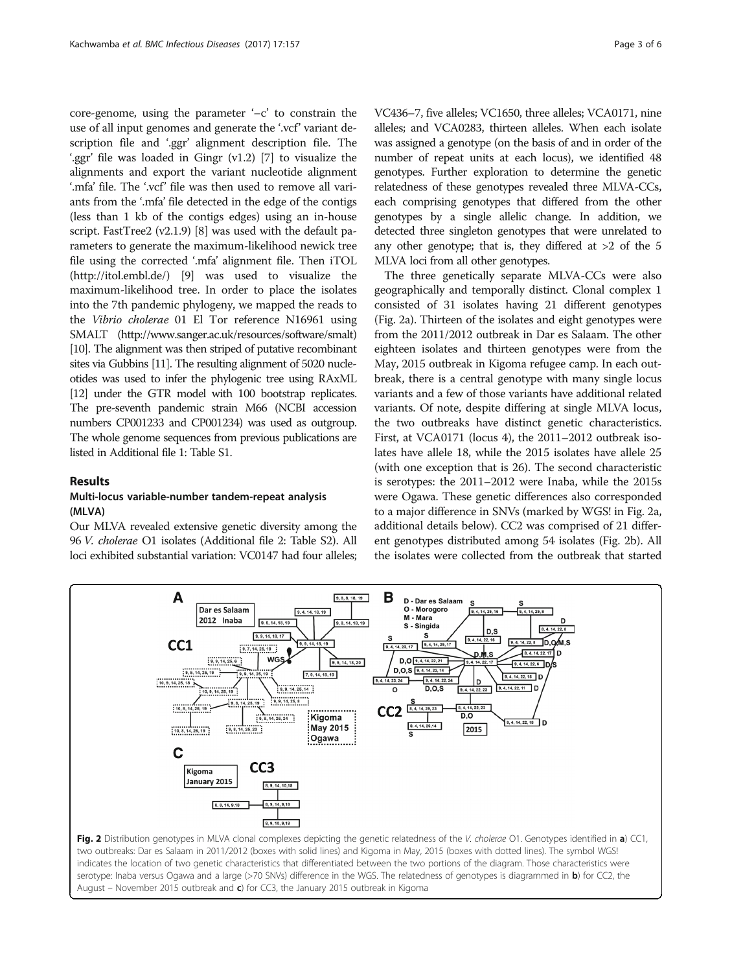<span id="page-2-0"></span>core-genome, using the parameter '–c' to constrain the use of all input genomes and generate the '.vcf' variant description file and '.ggr' alignment description file. The '.ggr' file was loaded in Gingr (v1.2) [\[7](#page-5-0)] to visualize the alignments and export the variant nucleotide alignment '.mfa' file. The '.vcf' file was then used to remove all variants from the '.mfa' file detected in the edge of the contigs (less than 1 kb of the contigs edges) using an in-house script. FastTree2 (v2.1.9) [\[8](#page-5-0)] was used with the default parameters to generate the maximum-likelihood newick tree file using the corrected '.mfa' alignment file. Then iTOL (<http://itol.embl.de/>) [\[9](#page-5-0)] was used to visualize the maximum-likelihood tree. In order to place the isolates into the 7th pandemic phylogeny, we mapped the reads to the Vibrio cholerae 01 El Tor reference N16961 using SMALT (<http://www.sanger.ac.uk/resources/software/smalt>) [[10\]](#page-5-0). The alignment was then striped of putative recombinant sites via Gubbins [\[11](#page-5-0)]. The resulting alignment of 5020 nucleotides was used to infer the phylogenic tree using RAxML [[12\]](#page-5-0) under the GTR model with 100 bootstrap replicates. The pre-seventh pandemic strain M66 (NCBI accession numbers CP001233 and CP001234) was used as outgroup. The whole genome sequences from previous publications are listed in Additional file [1](#page-5-0): Table S1.

## Results

## Multi-locus variable-number tandem-repeat analysis (MLVA)

Our MLVA revealed extensive genetic diversity among the 96 V. cholerae O1 isolates (Additional file [2:](#page-5-0) Table S2). All loci exhibited substantial variation: VC0147 had four alleles; VC436–7, five alleles; VC1650, three alleles; VCA0171, nine alleles; and VCA0283, thirteen alleles. When each isolate was assigned a genotype (on the basis of and in order of the number of repeat units at each locus), we identified 48 genotypes. Further exploration to determine the genetic relatedness of these genotypes revealed three MLVA-CCs, each comprising genotypes that differed from the other genotypes by a single allelic change. In addition, we detected three singleton genotypes that were unrelated to any other genotype; that is, they differed at  $>2$  of the 5 MLVA loci from all other genotypes.

The three genetically separate MLVA-CCs were also geographically and temporally distinct. Clonal complex 1 consisted of 31 isolates having 21 different genotypes (Fig. 2a). Thirteen of the isolates and eight genotypes were from the 2011/2012 outbreak in Dar es Salaam. The other eighteen isolates and thirteen genotypes were from the May, 2015 outbreak in Kigoma refugee camp. In each outbreak, there is a central genotype with many single locus variants and a few of those variants have additional related variants. Of note, despite differing at single MLVA locus, the two outbreaks have distinct genetic characteristics. First, at VCA0171 (locus 4), the 2011–2012 outbreak isolates have allele 18, while the 2015 isolates have allele 25 (with one exception that is 26). The second characteristic is serotypes: the 2011–2012 were Inaba, while the 2015s were Ogawa. These genetic differences also corresponded to a major difference in SNVs (marked by WGS! in Fig. 2a, additional details below). CC2 was comprised of 21 different genotypes distributed among 54 isolates (Fig. 2b). All the isolates were collected from the outbreak that started



serotype: Inaba versus Ogawa and a large (>70 SNVs) difference in the WGS. The relatedness of genotypes is diagrammed in b) for CC2, the August – November 2015 outbreak and  $c$ ) for CC3, the January 2015 outbreak in Kigoma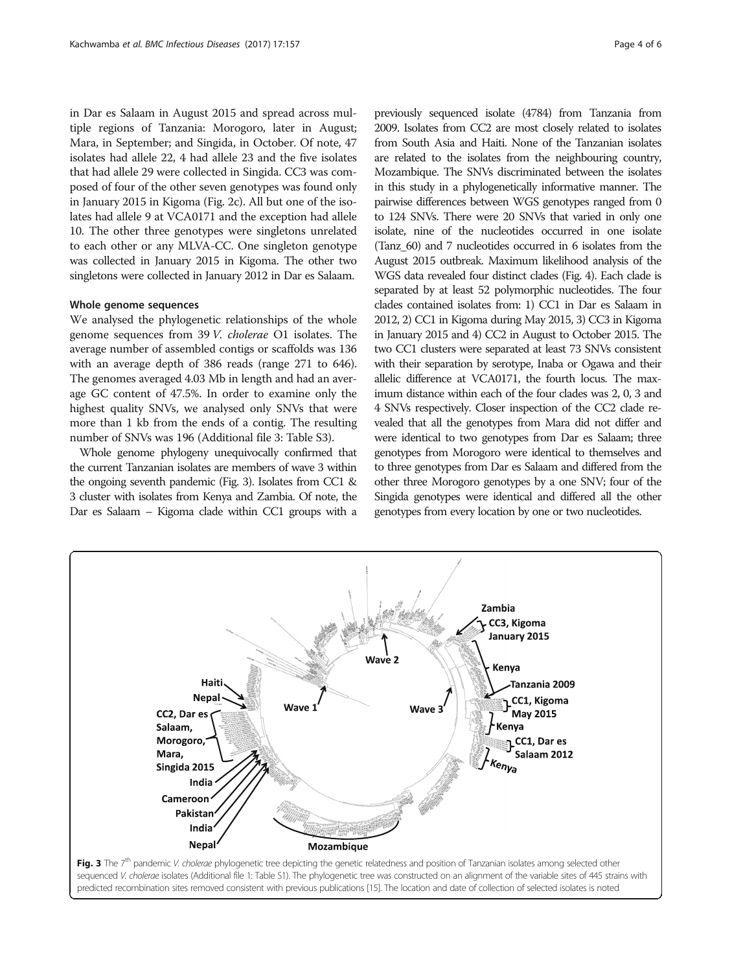<span id="page-3-0"></span>in Dar es Salaam in August 2015 and spread across multiple regions of Tanzania: Morogoro, later in August; Mara, in September; and Singida, in October. Of note, 47 isolates had allele 22, 4 had allele 23 and the five isolates that had allele 29 were collected in Singida. CC3 was composed of four of the other seven genotypes was found only in January 2015 in Kigoma (Fig. [2c\)](#page-2-0). All but one of the isolates had allele 9 at VCA0171 and the exception had allele 10. The other three genotypes were singletons unrelated to each other or any MLVA-CC. One singleton genotype was collected in January 2015 in Kigoma. The other two singletons were collected in January 2012 in Dar es Salaam.

#### Whole genome sequences

We analysed the phylogenetic relationships of the whole genome sequences from 39 V. cholerae O1 isolates. The average number of assembled contigs or scaffolds was 136 with an average depth of 386 reads (range 271 to 646). The genomes averaged 4.03 Mb in length and had an average GC content of 47.5%. In order to examine only the highest quality SNVs, we analysed only SNVs that were more than 1 kb from the ends of a contig. The resulting number of SNVs was 196 (Additional file [3](#page-5-0): Table S3).

Whole genome phylogeny unequivocally confirmed that the current Tanzanian isolates are members of wave 3 within the ongoing seventh pandemic (Fig. 3). Isolates from CC1 & 3 cluster with isolates from Kenya and Zambia. Of note, the Dar es Salaam – Kigoma clade within CC1 groups with a

previously sequenced isolate (4784) from Tanzania from 2009. Isolates from CC2 are most closely related to isolates from South Asia and Haiti. None of the Tanzanian isolates are related to the isolates from the neighbouring country, Mozambique. The SNVs discriminated between the isolates in this study in a phylogenetically informative manner. The pairwise differences between WGS genotypes ranged from 0 to 124 SNVs. There were 20 SNVs that varied in only one isolate, nine of the nucleotides occurred in one isolate (Tanz\_60) and 7 nucleotides occurred in 6 isolates from the August 2015 outbreak. Maximum likelihood analysis of the WGS data revealed four distinct clades (Fig. [4\)](#page-4-0). Each clade is separated by at least 52 polymorphic nucleotides. The four clades contained isolates from: 1) CC1 in Dar es Salaam in 2012, 2) CC1 in Kigoma during May 2015, 3) CC3 in Kigoma in January 2015 and 4) CC2 in August to October 2015. The two CC1 clusters were separated at least 73 SNVs consistent with their separation by serotype, Inaba or Ogawa and their allelic difference at VCA0171, the fourth locus. The maximum distance within each of the four clades was 2, 0, 3 and 4 SNVs respectively. Closer inspection of the CC2 clade revealed that all the genotypes from Mara did not differ and were identical to two genotypes from Dar es Salaam; three genotypes from Morogoro were identical to themselves and to three genotypes from Dar es Salaam and differed from the other three Morogoro genotypes by a one SNV; four of the Singida genotypes were identical and differed all the other genotypes from every location by one or two nucleotides.

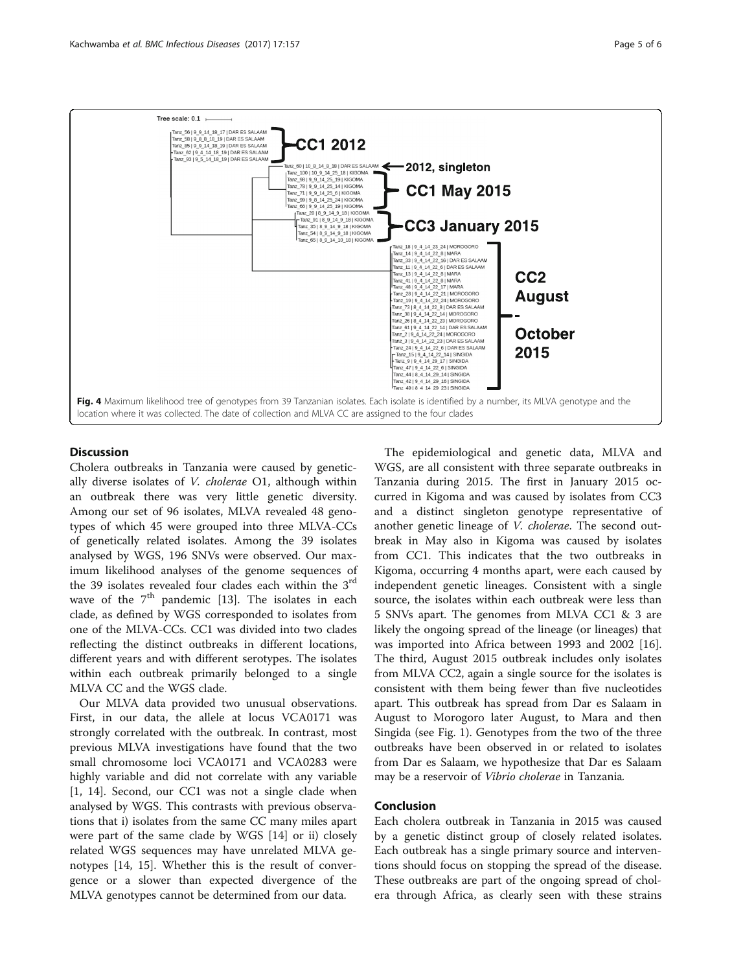<span id="page-4-0"></span>

## **Discussion**

Cholera outbreaks in Tanzania were caused by genetically diverse isolates of V. cholerae O1, although within an outbreak there was very little genetic diversity. Among our set of 96 isolates, MLVA revealed 48 genotypes of which 45 were grouped into three MLVA-CCs of genetically related isolates. Among the 39 isolates analysed by WGS, 196 SNVs were observed. Our maximum likelihood analyses of the genome sequences of the 39 isolates revealed four clades each within the 3<sup>rd</sup> wave of the  $7<sup>th</sup>$  pandemic [\[13](#page-5-0)]. The isolates in each clade, as defined by WGS corresponded to isolates from one of the MLVA-CCs. CC1 was divided into two clades reflecting the distinct outbreaks in different locations, different years and with different serotypes. The isolates within each outbreak primarily belonged to a single MLVA CC and the WGS clade.

Our MLVA data provided two unusual observations. First, in our data, the allele at locus VCA0171 was strongly correlated with the outbreak. In contrast, most previous MLVA investigations have found that the two small chromosome loci VCA0171 and VCA0283 were highly variable and did not correlate with any variable [[1, 14](#page-5-0)]. Second, our CC1 was not a single clade when analysed by WGS. This contrasts with previous observations that i) isolates from the same CC many miles apart were part of the same clade by WGS [\[14](#page-5-0)] or ii) closely related WGS sequences may have unrelated MLVA genotypes [[14, 15](#page-5-0)]. Whether this is the result of convergence or a slower than expected divergence of the MLVA genotypes cannot be determined from our data.

The epidemiological and genetic data, MLVA and WGS, are all consistent with three separate outbreaks in Tanzania during 2015. The first in January 2015 occurred in Kigoma and was caused by isolates from CC3 and a distinct singleton genotype representative of another genetic lineage of V. cholerae. The second outbreak in May also in Kigoma was caused by isolates from CC1. This indicates that the two outbreaks in Kigoma, occurring 4 months apart, were each caused by independent genetic lineages. Consistent with a single source, the isolates within each outbreak were less than 5 SNVs apart. The genomes from MLVA CC1 & 3 are likely the ongoing spread of the lineage (or lineages) that was imported into Africa between 1993 and 2002 [\[16](#page-5-0)]. The third, August 2015 outbreak includes only isolates from MLVA CC2, again a single source for the isolates is consistent with them being fewer than five nucleotides apart. This outbreak has spread from Dar es Salaam in August to Morogoro later August, to Mara and then Singida (see Fig. [1\)](#page-1-0). Genotypes from the two of the three outbreaks have been observed in or related to isolates from Dar es Salaam, we hypothesize that Dar es Salaam may be a reservoir of Vibrio cholerae in Tanzania.

## Conclusion

Each cholera outbreak in Tanzania in 2015 was caused by a genetic distinct group of closely related isolates. Each outbreak has a single primary source and interventions should focus on stopping the spread of the disease. These outbreaks are part of the ongoing spread of cholera through Africa, as clearly seen with these strains